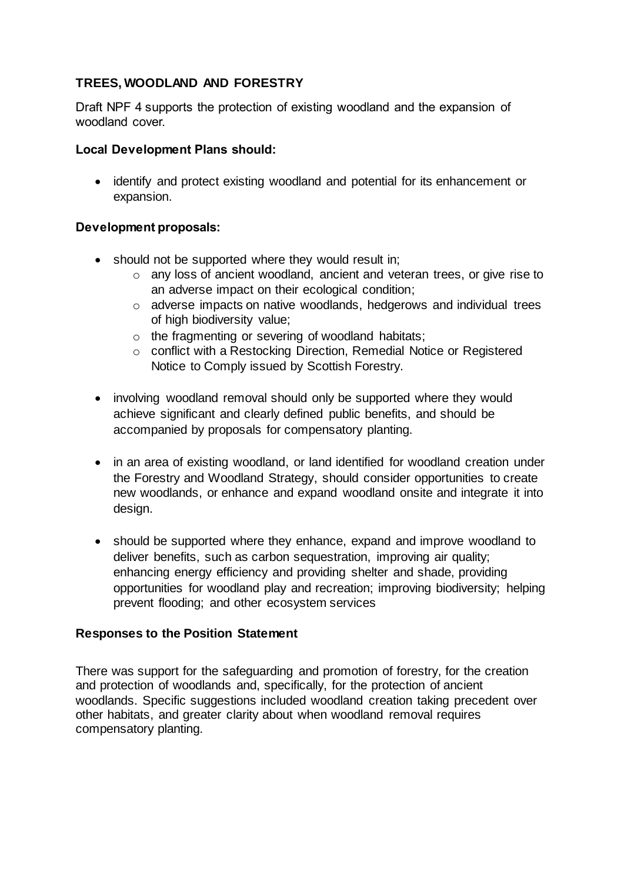# **TREES, WOODLAND AND FORESTRY**

Draft NPF 4 supports the protection of existing woodland and the expansion of woodland cover.

### **Local Development Plans should:**

 identify and protect existing woodland and potential for its enhancement or expansion.

### **Development proposals:**

- should not be supported where they would result in:
	- o any loss of ancient woodland, ancient and veteran trees, or give rise to an adverse impact on their ecological condition;
	- o adverse impacts on native woodlands, hedgerows and individual trees of high biodiversity value;
	- o the fragmenting or severing of woodland habitats;
	- o conflict with a Restocking Direction, Remedial Notice or Registered Notice to Comply issued by Scottish Forestry.
- involving woodland removal should only be supported where they would achieve significant and clearly defined public benefits, and should be accompanied by proposals for compensatory planting.
- in an area of existing woodland, or land identified for woodland creation under the Forestry and Woodland Strategy, should consider opportunities to create new woodlands, or enhance and expand woodland onsite and integrate it into design.
- should be supported where they enhance, expand and improve woodland to deliver benefits, such as carbon sequestration, improving air quality; enhancing energy efficiency and providing shelter and shade, providing opportunities for woodland play and recreation; improving biodiversity; helping prevent flooding; and other ecosystem services

# **Responses to the Position Statement**

There was support for the safeguarding and promotion of forestry, for the creation and protection of woodlands and, specifically, for the protection of ancient woodlands. Specific suggestions included woodland creation taking precedent over other habitats, and greater clarity about when woodland removal requires compensatory planting.